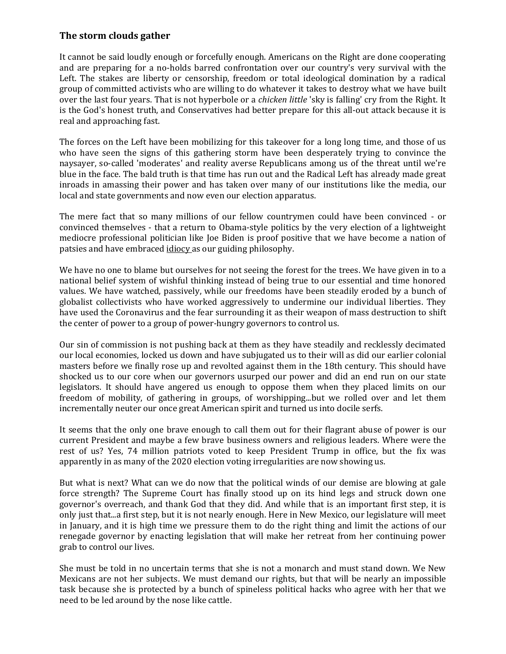## **The storm clouds gather**

It cannot be said loudly enough or forcefully enough. Americans on the Right are done cooperating and are preparing for a no-holds barred confrontation over our country's very survival with the Left. The stakes are liberty or censorship, freedom or total ideological domination by a radical group of committed activists who are willing to do whatever it takes to destroy what we have built over the last four years. That is not hyperbole or a *chicken little* 'sky is falling' cry from the Right. It is the God's honest truth, and Conservatives had better prepare for this all-out attack because it is real and approaching fast.

The forces on the Left have been mobilizing for this takeover for a long long time, and those of us who have seen the signs of this gathering storm have been desperately trying to convince the naysayer, so-called 'moderates' and reality averse Republicans among us of the threat until we're blue in the face. The bald truth is that time has run out and the Radical Left has already made great inroads in amassing their power and has taken over many of our institutions like the media, our local and state governments and now even our election apparatus.

The mere fact that so many millions of our fellow countrymen could have been convinced - or convinced themselves - that a return to Obama-style politics by the very election of a lightweight mediocre professional politician like Joe Biden is proof positive that we have become a nation of patsies and have embraced idiocy as our guiding philosophy.

We have no one to blame but ourselves for not seeing the forest for the trees. We have given in to a national belief system of wishful thinking instead of being true to our essential and time honored values. We have watched, passively, while our freedoms have been steadily eroded by a bunch of globalist collectivists who have worked aggressively to undermine our individual liberties. They have used the Coronavirus and the fear surrounding it as their weapon of mass destruction to shift the center of power to a group of power-hungry governors to control us.

Our sin of commission is not pushing back at them as they have steadily and recklessly decimated our local economies, locked us down and have subjugated us to their will as did our earlier colonial masters before we finally rose up and revolted against them in the 18th century. This should have shocked us to our core when our governors usurped our power and did an end run on our state legislators. It should have angered us enough to oppose them when they placed limits on our freedom of mobility, of gathering in groups, of worshipping...but we rolled over and let them incrementally neuter our once great American spirit and turned us into docile serfs.

It seems that the only one brave enough to call them out for their flagrant abuse of power is our current President and maybe a few brave business owners and religious leaders. Where were the rest of us? Yes, 74 million patriots voted to keep President Trump in office, but the fix was apparently in as many of the 2020 election voting irregularities are now showing us.

But what is next? What can we do now that the political winds of our demise are blowing at gale force strength? The Supreme Court has finally stood up on its hind legs and struck down one governor's overreach, and thank God that they did. And while that is an important first step, it is only just that...a first step, but it is not nearly enough. Here in New Mexico, our legislature will meet in January, and it is high time we pressure them to do the right thing and limit the actions of our renegade governor by enacting legislation that will make her retreat from her continuing power grab to control our lives.

She must be told in no uncertain terms that she is not a monarch and must stand down. We New Mexicans are not her subjects. We must demand our rights, but that will be nearly an impossible task because she is protected by a bunch of spineless political hacks who agree with her that we need to be led around by the nose like cattle.